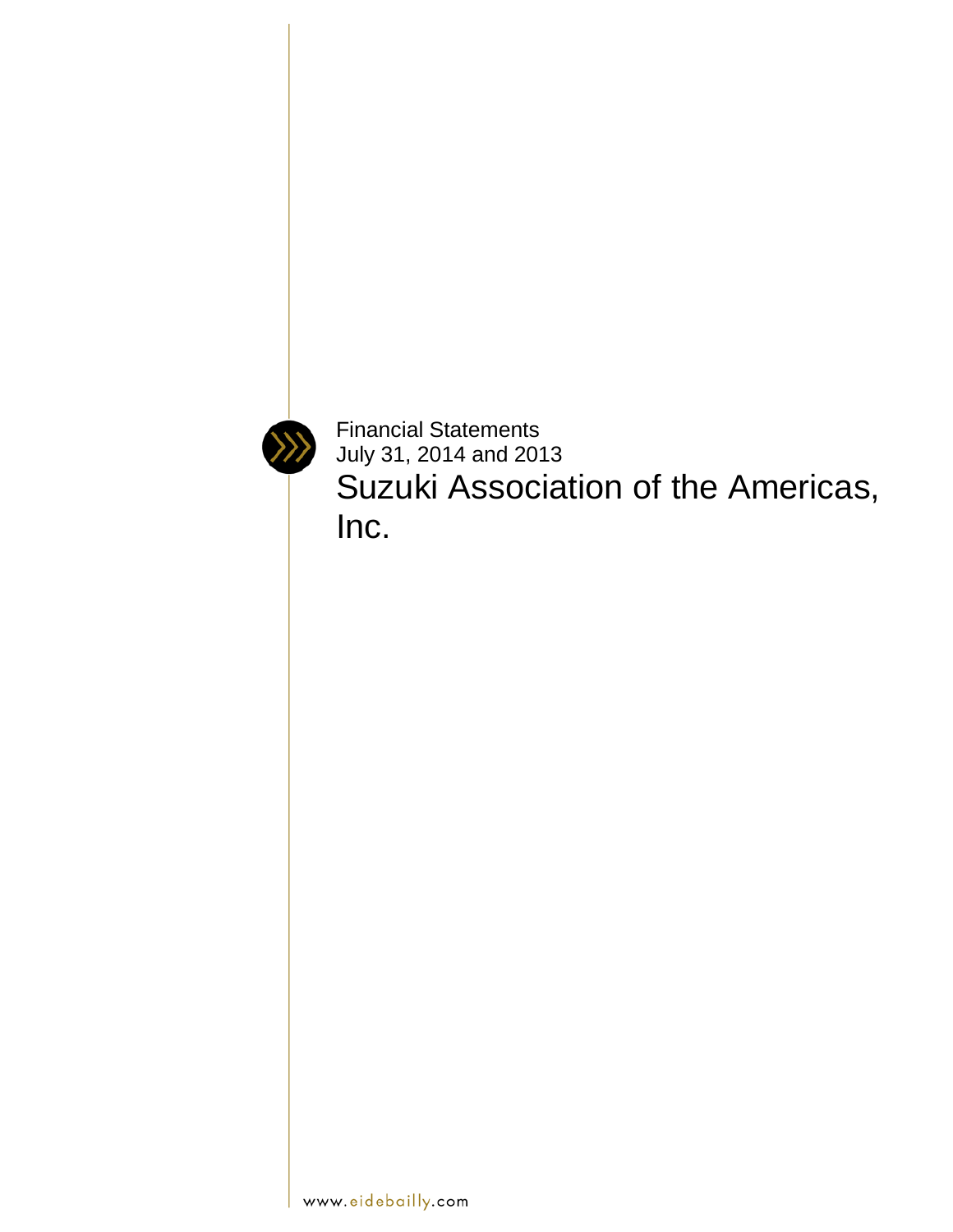

Financial Statements July 31, 2014 and 2013 Suzuki Association of the Americas, Inc.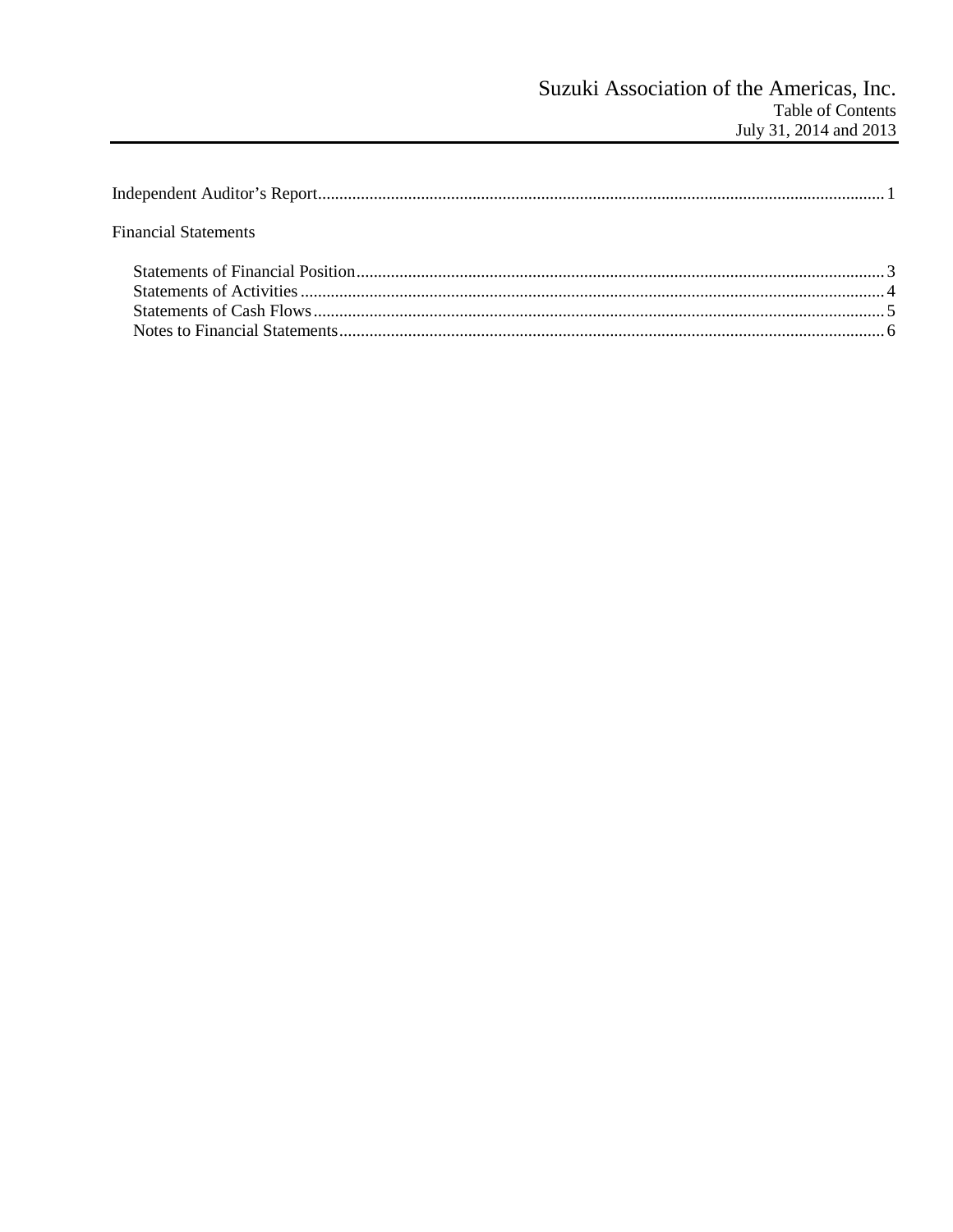| <b>Financial Statements</b> |  |
|-----------------------------|--|
|                             |  |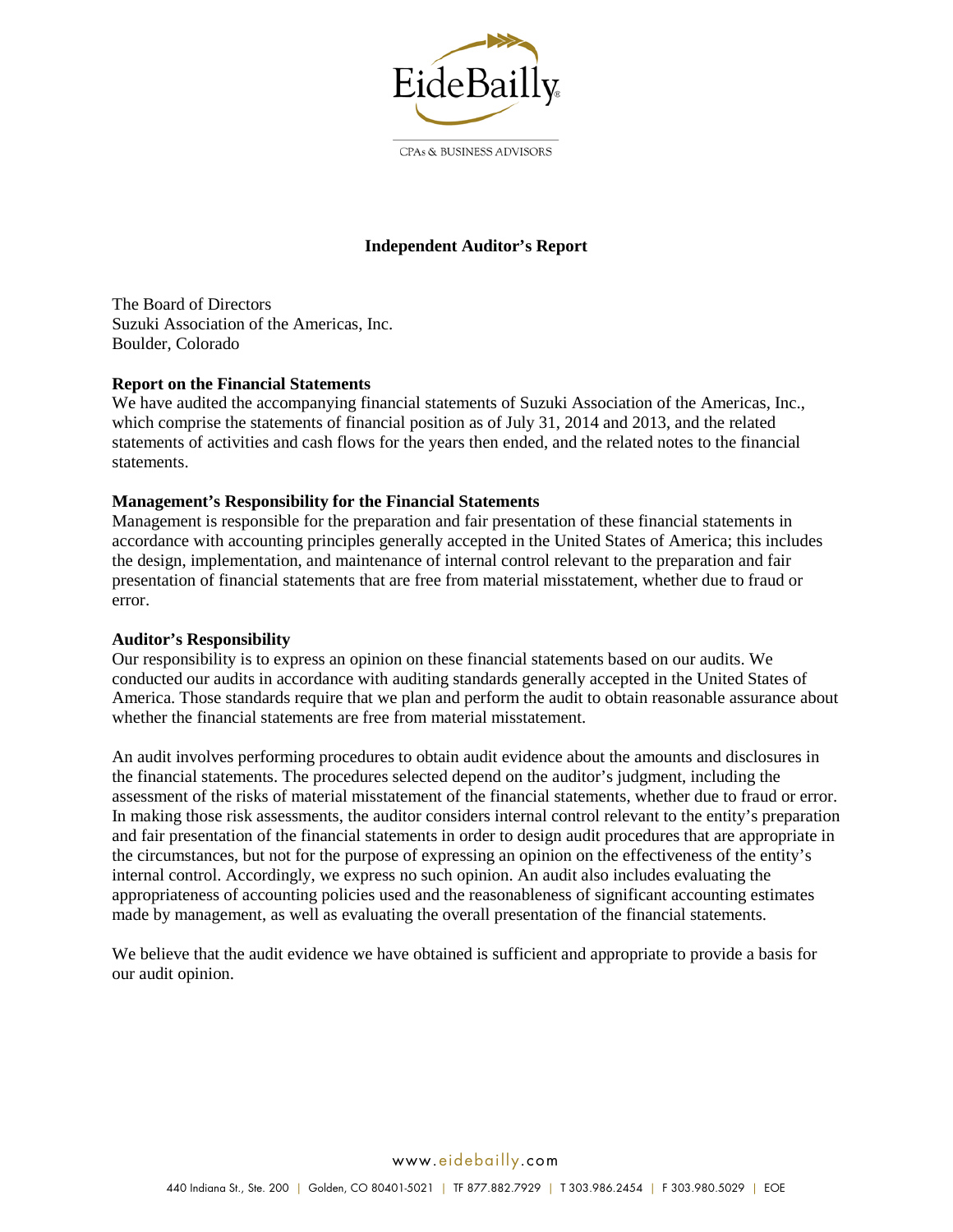

CPAs & BUSINESS ADVISORS

### **Independent Auditor's Report**

The Board of Directors Suzuki Association of the Americas, Inc. Boulder, Colorado

#### **Report on the Financial Statements**

We have audited the accompanying financial statements of Suzuki Association of the Americas, Inc., which comprise the statements of financial position as of July 31, 2014 and 2013, and the related statements of activities and cash flows for the years then ended, and the related notes to the financial statements.

### **Management's Responsibility for the Financial Statements**

Management is responsible for the preparation and fair presentation of these financial statements in accordance with accounting principles generally accepted in the United States of America; this includes the design, implementation, and maintenance of internal control relevant to the preparation and fair presentation of financial statements that are free from material misstatement, whether due to fraud or error.

### **Auditor's Responsibility**

Our responsibility is to express an opinion on these financial statements based on our audits. We conducted our audits in accordance with auditing standards generally accepted in the United States of America. Those standards require that we plan and perform the audit to obtain reasonable assurance about whether the financial statements are free from material misstatement.

An audit involves performing procedures to obtain audit evidence about the amounts and disclosures in the financial statements. The procedures selected depend on the auditor's judgment, including the assessment of the risks of material misstatement of the financial statements, whether due to fraud or error. In making those risk assessments, the auditor considers internal control relevant to the entity's preparation and fair presentation of the financial statements in order to design audit procedures that are appropriate in the circumstances, but not for the purpose of expressing an opinion on the effectiveness of the entity's internal control. Accordingly, we express no such opinion. An audit also includes evaluating the appropriateness of accounting policies used and the reasonableness of significant accounting estimates made by management, as well as evaluating the overall presentation of the financial statements.

We believe that the audit evidence we have obtained is sufficient and appropriate to provide a basis for our audit opinion.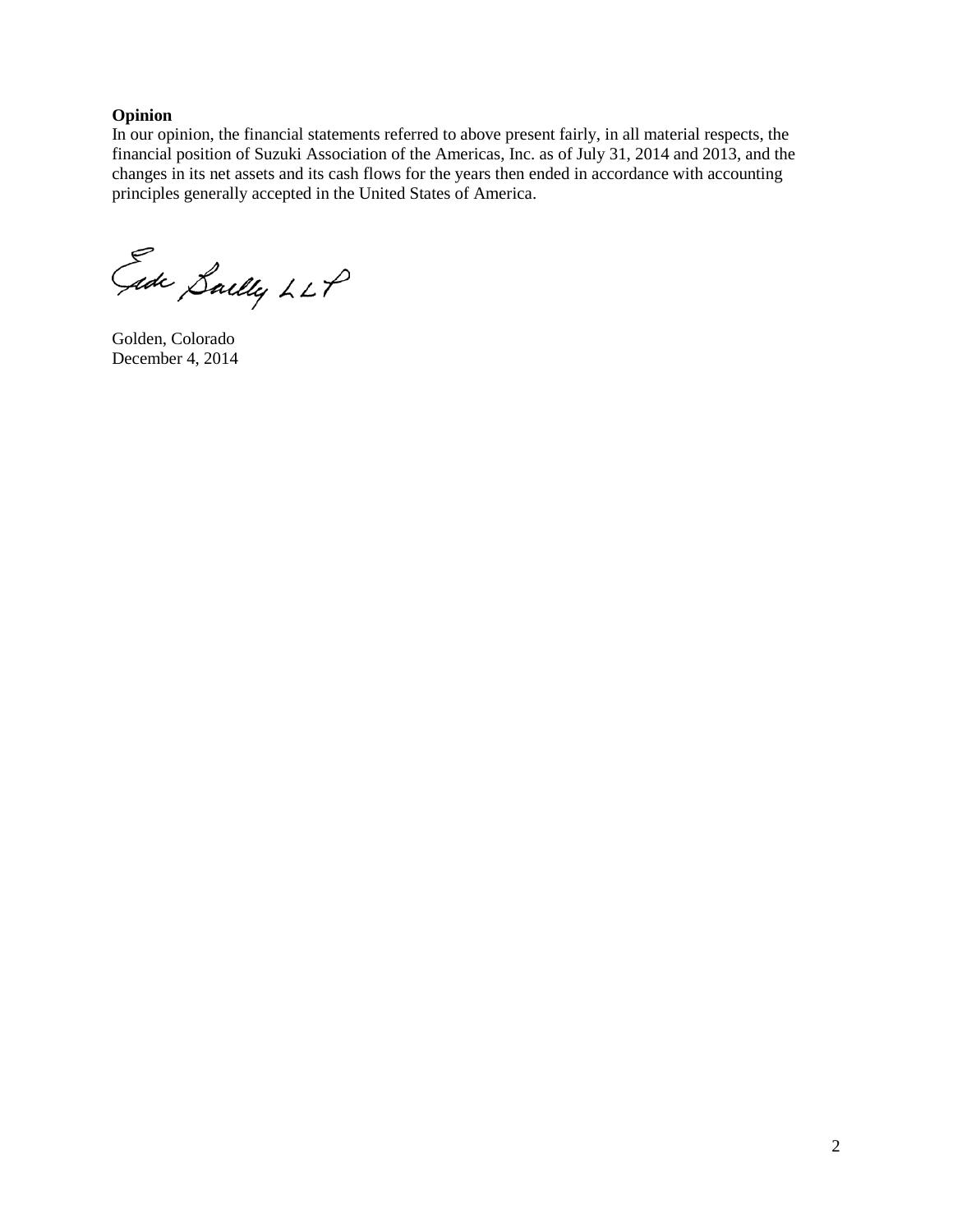### **Opinion**

In our opinion, the financial statements referred to above present fairly, in all material respects, the financial position of Suzuki Association of the Americas, Inc. as of July 31, 2014 and 2013, and the changes in its net assets and its cash flows for the years then ended in accordance with accounting principles generally accepted in the United States of America.

Gide Sailly LLP

Golden, Colorado December 4, 2014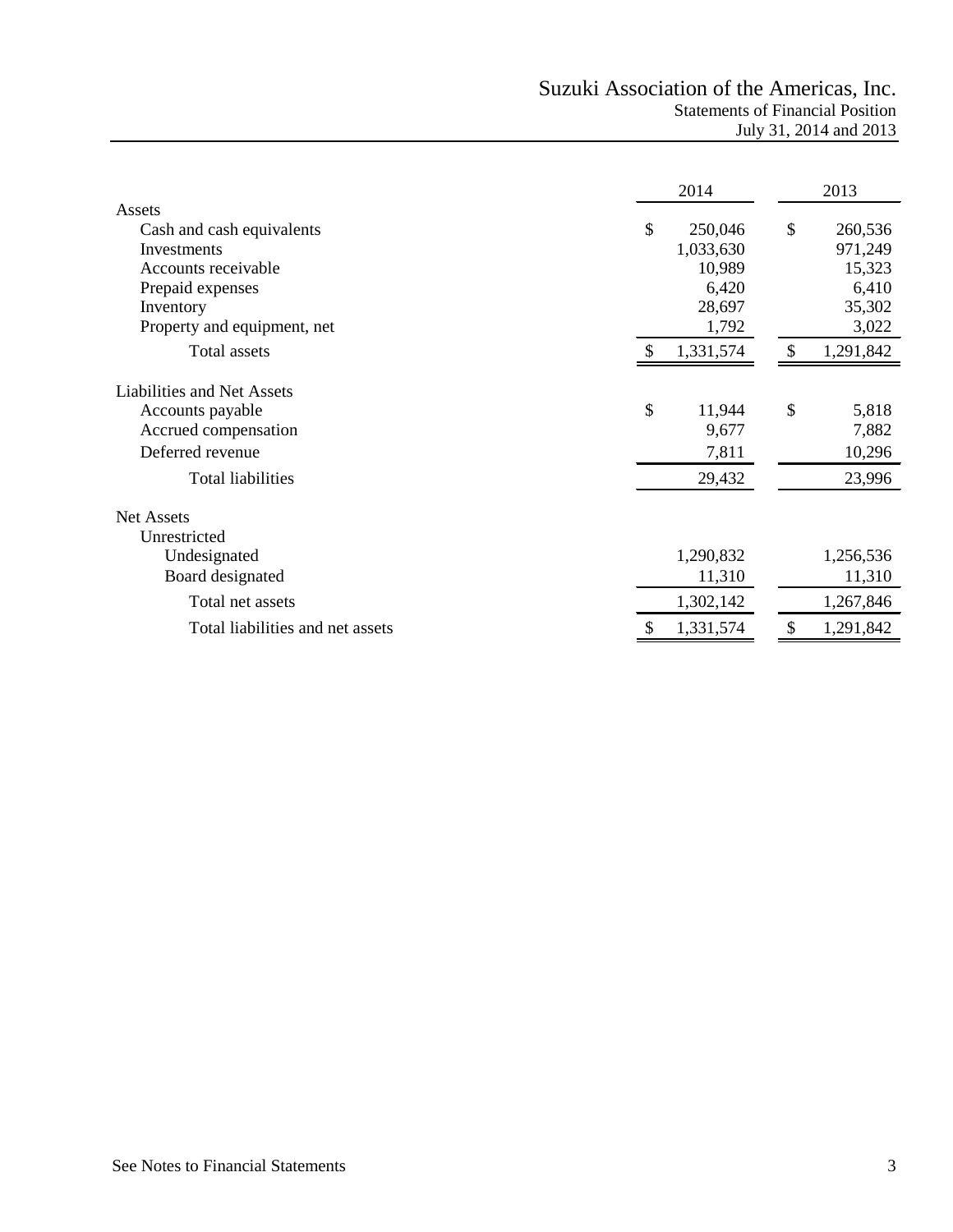# Suzuki Association of the Americas, Inc. Statements of Financial Position July 31, 2014 and 2013

|                                  |               | 2014      |               | 2013      |
|----------------------------------|---------------|-----------|---------------|-----------|
| Assets                           |               |           |               |           |
| Cash and cash equivalents        | \$            | 250,046   | \$            | 260,536   |
| <b>Investments</b>               |               | 1,033,630 |               | 971,249   |
| Accounts receivable              |               | 10,989    |               | 15,323    |
| Prepaid expenses                 |               | 6,420     |               | 6,410     |
| Inventory                        |               | 28,697    |               | 35,302    |
| Property and equipment, net      |               | 1,792     |               | 3,022     |
| <b>Total assets</b>              | <sup>\$</sup> | 1,331,574 | $\frac{1}{2}$ | 1,291,842 |
| Liabilities and Net Assets       |               |           |               |           |
| Accounts payable                 | \$            | 11,944    | \$            | 5,818     |
| Accrued compensation             |               | 9,677     |               | 7,882     |
| Deferred revenue                 |               | 7,811     |               | 10,296    |
| Total liabilities                |               | 29,432    |               | 23,996    |
| <b>Net Assets</b>                |               |           |               |           |
| Unrestricted                     |               |           |               |           |
| Undesignated                     |               | 1,290,832 |               | 1,256,536 |
| Board designated                 |               | 11,310    |               | 11,310    |
| Total net assets                 |               | 1,302,142 |               | 1,267,846 |
| Total liabilities and net assets | \$            | 1,331,574 | \$            | 1,291,842 |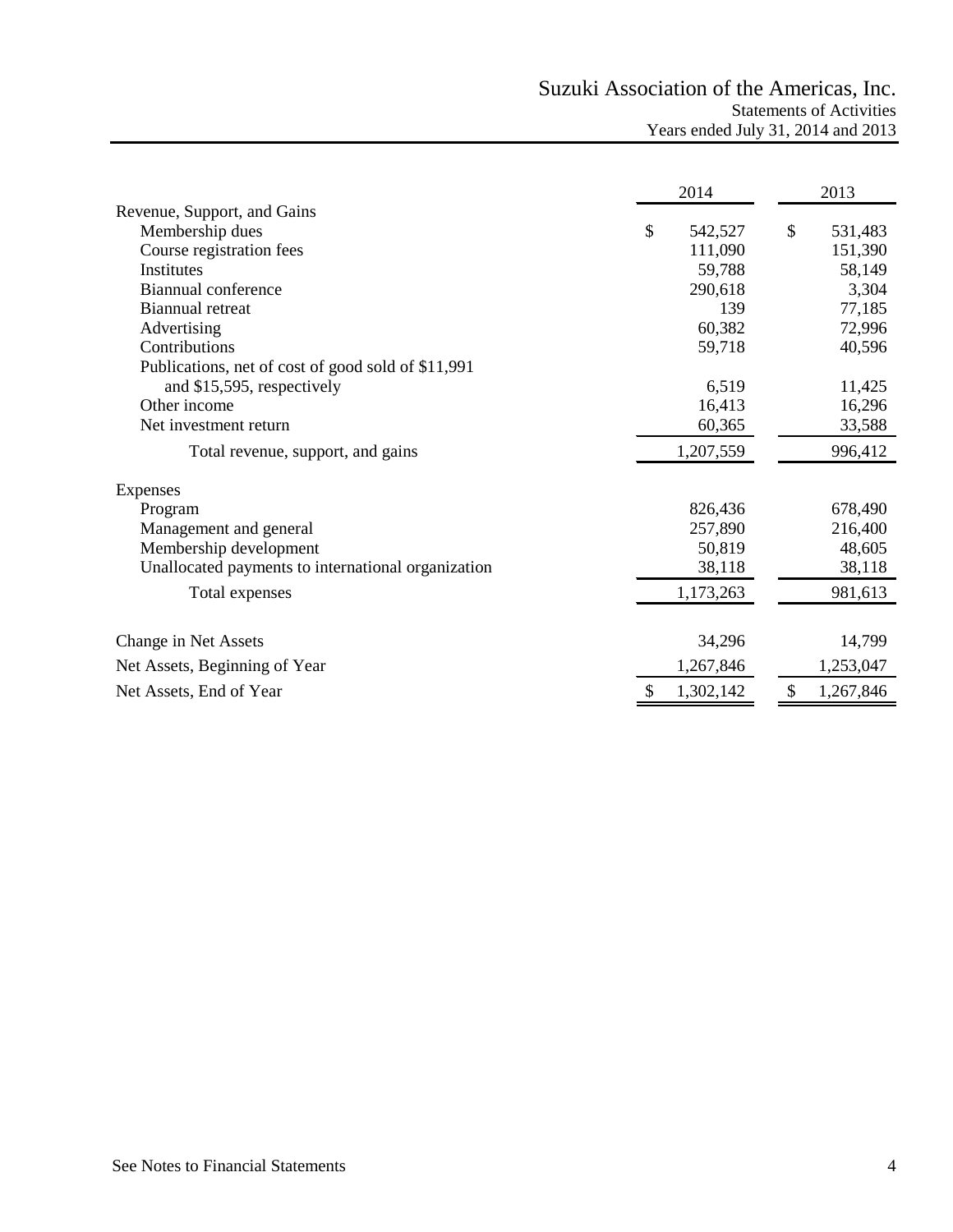# Suzuki Association of the Americas, Inc. Statements of Activities Years ended July 31, 2014 and 2013

|                                                    |              | 2014      | 2013            |
|----------------------------------------------------|--------------|-----------|-----------------|
| Revenue, Support, and Gains                        |              |           |                 |
| Membership dues                                    | $\mathbb{S}$ | 542,527   | \$<br>531,483   |
| Course registration fees                           |              | 111,090   | 151,390         |
| Institutes                                         |              | 59,788    | 58,149          |
| Biannual conference                                |              | 290,618   | 3,304           |
| <b>Biannual</b> retreat                            |              | 139       | 77,185          |
| Advertising                                        |              | 60,382    | 72,996          |
| Contributions                                      |              | 59,718    | 40,596          |
| Publications, net of cost of good sold of \$11,991 |              |           |                 |
| and \$15,595, respectively                         |              | 6,519     | 11,425          |
| Other income                                       |              | 16,413    | 16,296          |
| Net investment return                              |              | 60,365    | 33,588          |
| Total revenue, support, and gains                  |              | 1,207,559 | 996,412         |
| Expenses                                           |              |           |                 |
| Program                                            |              | 826,436   | 678,490         |
| Management and general                             |              | 257,890   | 216,400         |
| Membership development                             |              | 50,819    | 48,605          |
| Unallocated payments to international organization |              | 38,118    | 38,118          |
| Total expenses                                     |              | 1,173,263 | 981,613         |
| Change in Net Assets                               |              | 34,296    | 14,799          |
|                                                    |              |           |                 |
| Net Assets, Beginning of Year                      |              | 1,267,846 | 1,253,047       |
| Net Assets, End of Year                            |              | 1,302,142 | \$<br>1,267,846 |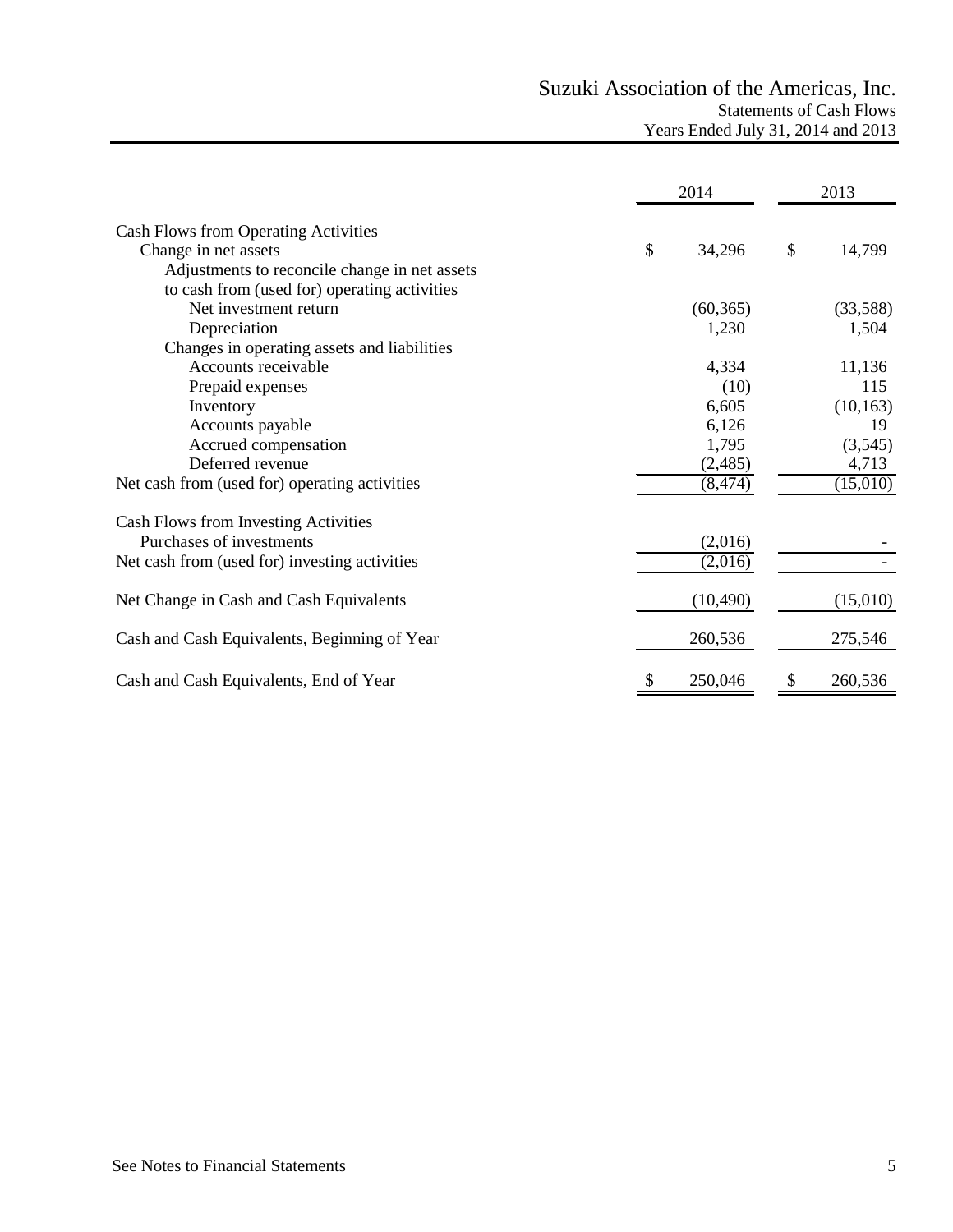# Suzuki Association of the Americas, Inc. Statements of Cash Flows Years Ended July 31, 2014 and 2013

|                                               | 2014          |    |           |
|-----------------------------------------------|---------------|----|-----------|
| Cash Flows from Operating Activities          |               |    |           |
| Change in net assets                          | \$<br>34,296  | \$ | 14,799    |
| Adjustments to reconcile change in net assets |               |    |           |
| to cash from (used for) operating activities  |               |    |           |
| Net investment return                         | (60, 365)     |    | (33,588)  |
| Depreciation                                  | 1,230         |    | 1,504     |
| Changes in operating assets and liabilities   |               |    |           |
| Accounts receivable                           | 4,334         |    | 11,136    |
| Prepaid expenses                              | (10)          |    | 115       |
| Inventory                                     | 6,605         |    | (10, 163) |
| Accounts payable                              | 6,126         |    | 19        |
| Accrued compensation                          | 1,795         |    | (3,545)   |
| Deferred revenue                              | (2,485)       |    | 4,713     |
| Net cash from (used for) operating activities | (8, 474)      |    | (15,010)  |
| Cash Flows from Investing Activities          |               |    |           |
| Purchases of investments                      | (2,016)       |    |           |
| Net cash from (used for) investing activities | (2,016)       |    |           |
| Net Change in Cash and Cash Equivalents       | (10, 490)     |    | (15,010)  |
| Cash and Cash Equivalents, Beginning of Year  | 260,536       |    | 275,546   |
| Cash and Cash Equivalents, End of Year        | \$<br>250,046 | \$ | 260,536   |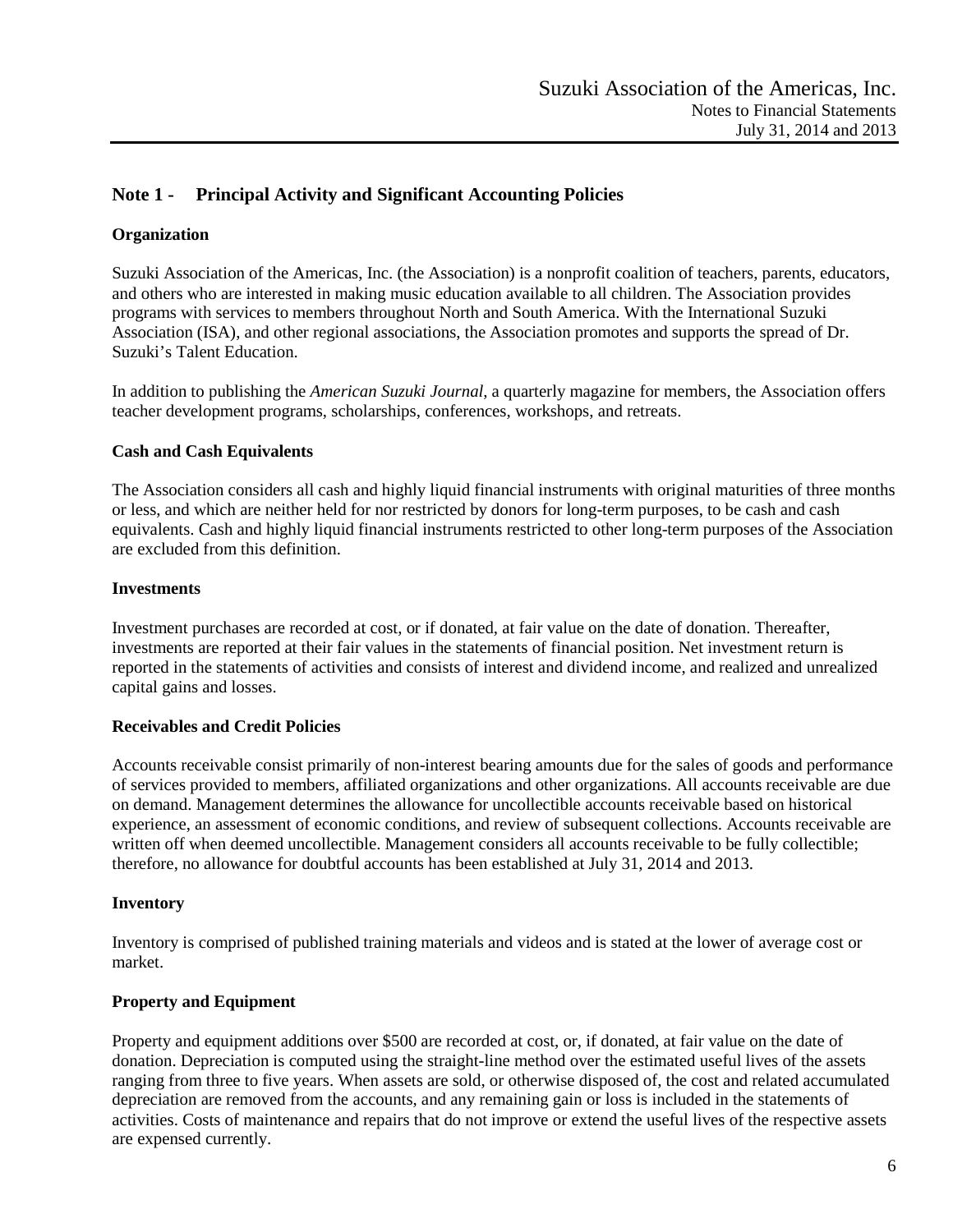# **Note 1 - Principal Activity and Significant Accounting Policies**

### **Organization**

Suzuki Association of the Americas, Inc. (the Association) is a nonprofit coalition of teachers, parents, educators, and others who are interested in making music education available to all children. The Association provides programs with services to members throughout North and South America. With the International Suzuki Association (ISA), and other regional associations, the Association promotes and supports the spread of Dr. Suzuki's Talent Education.

In addition to publishing the *American Suzuki Journal*, a quarterly magazine for members, the Association offers teacher development programs, scholarships, conferences, workshops, and retreats.

### **Cash and Cash Equivalents**

The Association considers all cash and highly liquid financial instruments with original maturities of three months or less, and which are neither held for nor restricted by donors for long-term purposes, to be cash and cash equivalents. Cash and highly liquid financial instruments restricted to other long-term purposes of the Association are excluded from this definition.

### **Investments**

Investment purchases are recorded at cost, or if donated, at fair value on the date of donation. Thereafter, investments are reported at their fair values in the statements of financial position. Net investment return is reported in the statements of activities and consists of interest and dividend income, and realized and unrealized capital gains and losses.

### **Receivables and Credit Policies**

Accounts receivable consist primarily of non-interest bearing amounts due for the sales of goods and performance of services provided to members, affiliated organizations and other organizations. All accounts receivable are due on demand. Management determines the allowance for uncollectible accounts receivable based on historical experience, an assessment of economic conditions, and review of subsequent collections. Accounts receivable are written off when deemed uncollectible. Management considers all accounts receivable to be fully collectible; therefore, no allowance for doubtful accounts has been established at July 31, 2014 and 2013.

### **Inventory**

Inventory is comprised of published training materials and videos and is stated at the lower of average cost or market.

### **Property and Equipment**

Property and equipment additions over \$500 are recorded at cost, or, if donated, at fair value on the date of donation. Depreciation is computed using the straight-line method over the estimated useful lives of the assets ranging from three to five years. When assets are sold, or otherwise disposed of, the cost and related accumulated depreciation are removed from the accounts, and any remaining gain or loss is included in the statements of activities. Costs of maintenance and repairs that do not improve or extend the useful lives of the respective assets are expensed currently.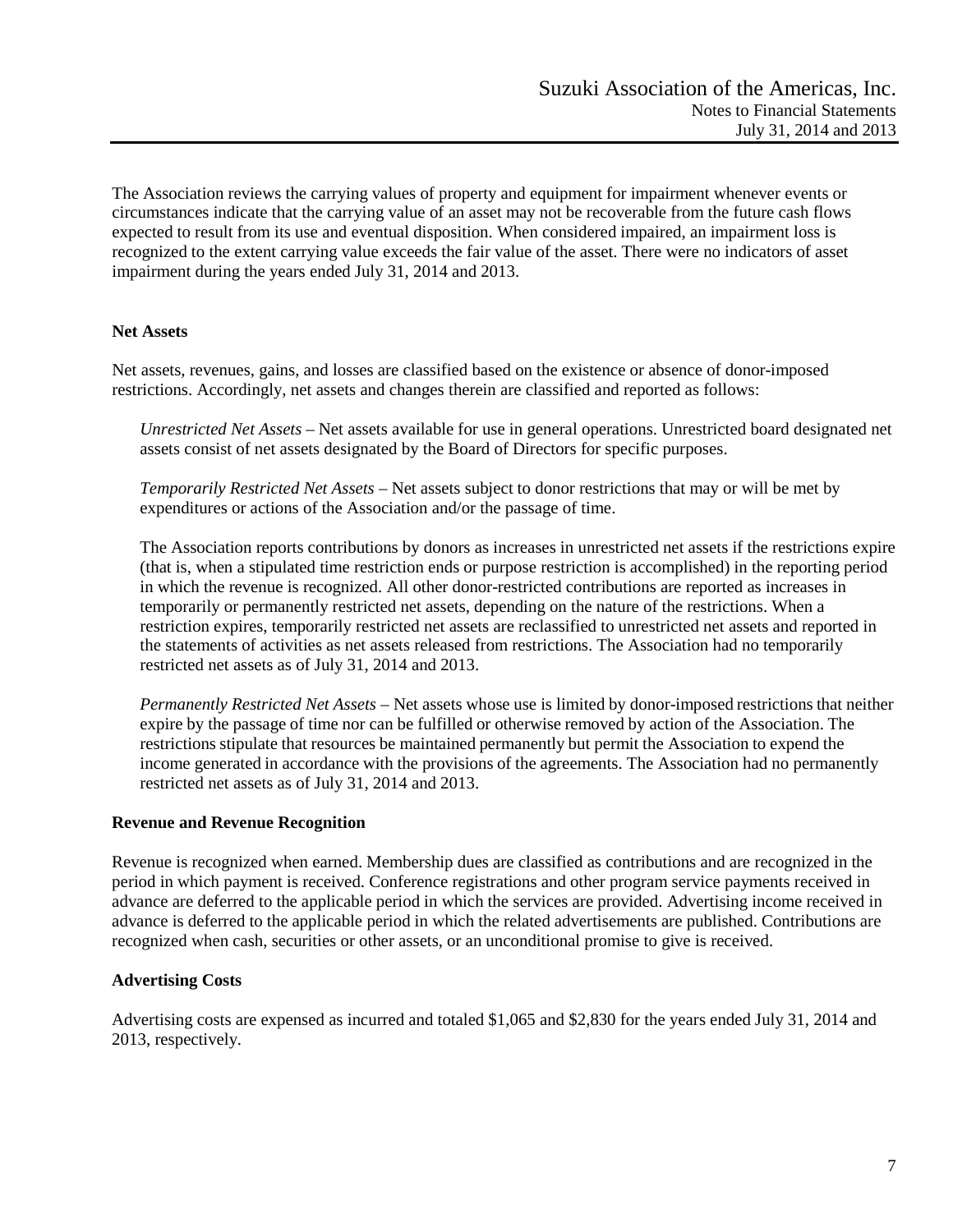The Association reviews the carrying values of property and equipment for impairment whenever events or circumstances indicate that the carrying value of an asset may not be recoverable from the future cash flows expected to result from its use and eventual disposition. When considered impaired, an impairment loss is recognized to the extent carrying value exceeds the fair value of the asset. There were no indicators of asset impairment during the years ended July 31, 2014 and 2013.

### **Net Assets**

Net assets, revenues, gains, and losses are classified based on the existence or absence of donor-imposed restrictions. Accordingly, net assets and changes therein are classified and reported as follows:

*Unrestricted Net Assets* – Net assets available for use in general operations. Unrestricted board designated net assets consist of net assets designated by the Board of Directors for specific purposes.

*Temporarily Restricted Net Assets* – Net assets subject to donor restrictions that may or will be met by expenditures or actions of the Association and/or the passage of time.

The Association reports contributions by donors as increases in unrestricted net assets if the restrictions expire (that is, when a stipulated time restriction ends or purpose restriction is accomplished) in the reporting period in which the revenue is recognized. All other donor-restricted contributions are reported as increases in temporarily or permanently restricted net assets, depending on the nature of the restrictions. When a restriction expires, temporarily restricted net assets are reclassified to unrestricted net assets and reported in the statements of activities as net assets released from restrictions. The Association had no temporarily restricted net assets as of July 31, 2014 and 2013.

*Permanently Restricted Net Assets* – Net assets whose use is limited by donor-imposed restrictions that neither expire by the passage of time nor can be fulfilled or otherwise removed by action of the Association. The restrictions stipulate that resources be maintained permanently but permit the Association to expend the income generated in accordance with the provisions of the agreements. The Association had no permanently restricted net assets as of July 31, 2014 and 2013.

## **Revenue and Revenue Recognition**

Revenue is recognized when earned. Membership dues are classified as contributions and are recognized in the period in which payment is received. Conference registrations and other program service payments received in advance are deferred to the applicable period in which the services are provided. Advertising income received in advance is deferred to the applicable period in which the related advertisements are published. Contributions are recognized when cash, securities or other assets, or an unconditional promise to give is received.

## **Advertising Costs**

Advertising costs are expensed as incurred and totaled \$1,065 and \$2,830 for the years ended July 31, 2014 and 2013, respectively.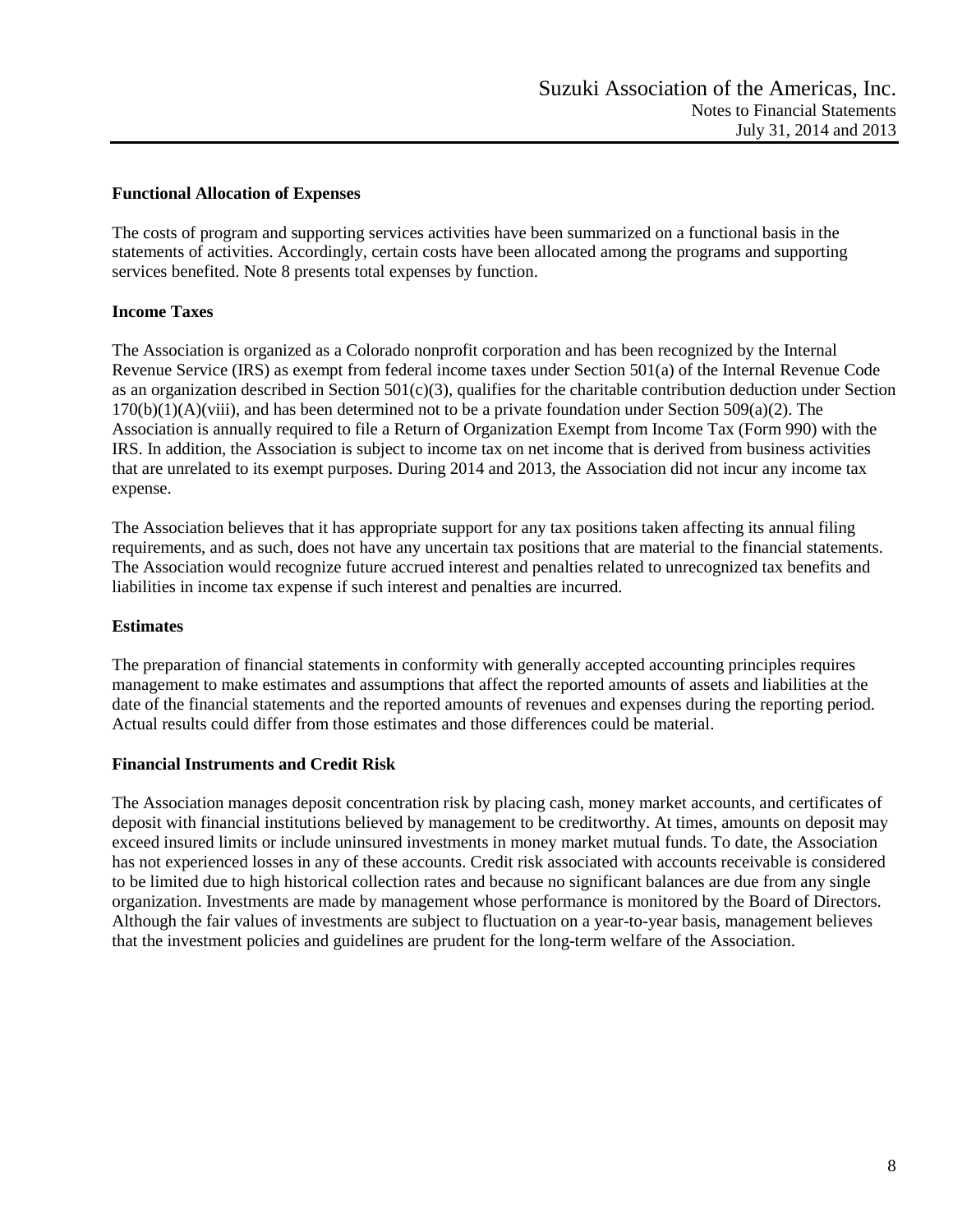### **Functional Allocation of Expenses**

The costs of program and supporting services activities have been summarized on a functional basis in the statements of activities. Accordingly, certain costs have been allocated among the programs and supporting services benefited. Note 8 presents total expenses by function.

### **Income Taxes**

The Association is organized as a Colorado nonprofit corporation and has been recognized by the Internal Revenue Service (IRS) as exempt from federal income taxes under Section 501(a) of the Internal Revenue Code as an organization described in Section  $501(c)(3)$ , qualifies for the charitable contribution deduction under Section  $170(b)(1)(A)(viii)$ , and has been determined not to be a private foundation under Section 509(a)(2). The Association is annually required to file a Return of Organization Exempt from Income Tax (Form 990) with the IRS. In addition, the Association is subject to income tax on net income that is derived from business activities that are unrelated to its exempt purposes. During 2014 and 2013, the Association did not incur any income tax expense.

The Association believes that it has appropriate support for any tax positions taken affecting its annual filing requirements, and as such, does not have any uncertain tax positions that are material to the financial statements. The Association would recognize future accrued interest and penalties related to unrecognized tax benefits and liabilities in income tax expense if such interest and penalties are incurred.

### **Estimates**

The preparation of financial statements in conformity with generally accepted accounting principles requires management to make estimates and assumptions that affect the reported amounts of assets and liabilities at the date of the financial statements and the reported amounts of revenues and expenses during the reporting period. Actual results could differ from those estimates and those differences could be material.

### **Financial Instruments and Credit Risk**

The Association manages deposit concentration risk by placing cash, money market accounts, and certificates of deposit with financial institutions believed by management to be creditworthy. At times, amounts on deposit may exceed insured limits or include uninsured investments in money market mutual funds. To date, the Association has not experienced losses in any of these accounts. Credit risk associated with accounts receivable is considered to be limited due to high historical collection rates and because no significant balances are due from any single organization. Investments are made by management whose performance is monitored by the Board of Directors. Although the fair values of investments are subject to fluctuation on a year-to-year basis, management believes that the investment policies and guidelines are prudent for the long-term welfare of the Association.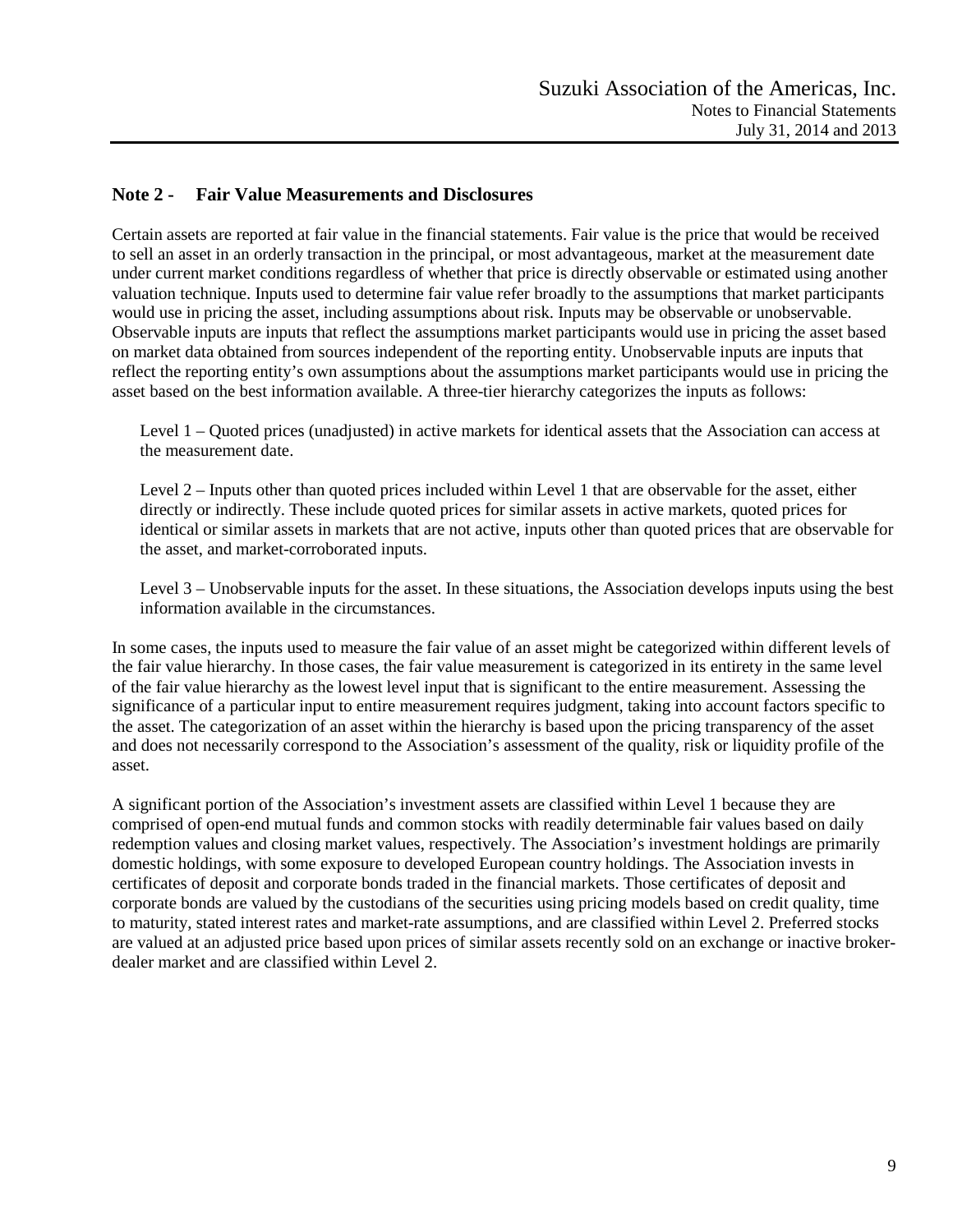# **Note 2 - Fair Value Measurements and Disclosures**

Certain assets are reported at fair value in the financial statements. Fair value is the price that would be received to sell an asset in an orderly transaction in the principal, or most advantageous, market at the measurement date under current market conditions regardless of whether that price is directly observable or estimated using another valuation technique. Inputs used to determine fair value refer broadly to the assumptions that market participants would use in pricing the asset, including assumptions about risk. Inputs may be observable or unobservable. Observable inputs are inputs that reflect the assumptions market participants would use in pricing the asset based on market data obtained from sources independent of the reporting entity. Unobservable inputs are inputs that reflect the reporting entity's own assumptions about the assumptions market participants would use in pricing the asset based on the best information available. A three-tier hierarchy categorizes the inputs as follows:

Level 1 – Quoted prices (unadjusted) in active markets for identical assets that the Association can access at the measurement date.

Level 2 – Inputs other than quoted prices included within Level 1 that are observable for the asset, either directly or indirectly. These include quoted prices for similar assets in active markets, quoted prices for identical or similar assets in markets that are not active, inputs other than quoted prices that are observable for the asset, and market-corroborated inputs.

Level 3 – Unobservable inputs for the asset. In these situations, the Association develops inputs using the best information available in the circumstances.

In some cases, the inputs used to measure the fair value of an asset might be categorized within different levels of the fair value hierarchy. In those cases, the fair value measurement is categorized in its entirety in the same level of the fair value hierarchy as the lowest level input that is significant to the entire measurement. Assessing the significance of a particular input to entire measurement requires judgment, taking into account factors specific to the asset. The categorization of an asset within the hierarchy is based upon the pricing transparency of the asset and does not necessarily correspond to the Association's assessment of the quality, risk or liquidity profile of the asset.

A significant portion of the Association's investment assets are classified within Level 1 because they are comprised of open-end mutual funds and common stocks with readily determinable fair values based on daily redemption values and closing market values, respectively. The Association's investment holdings are primarily domestic holdings, with some exposure to developed European country holdings. The Association invests in certificates of deposit and corporate bonds traded in the financial markets. Those certificates of deposit and corporate bonds are valued by the custodians of the securities using pricing models based on credit quality, time to maturity, stated interest rates and market-rate assumptions, and are classified within Level 2. Preferred stocks are valued at an adjusted price based upon prices of similar assets recently sold on an exchange or inactive brokerdealer market and are classified within Level 2.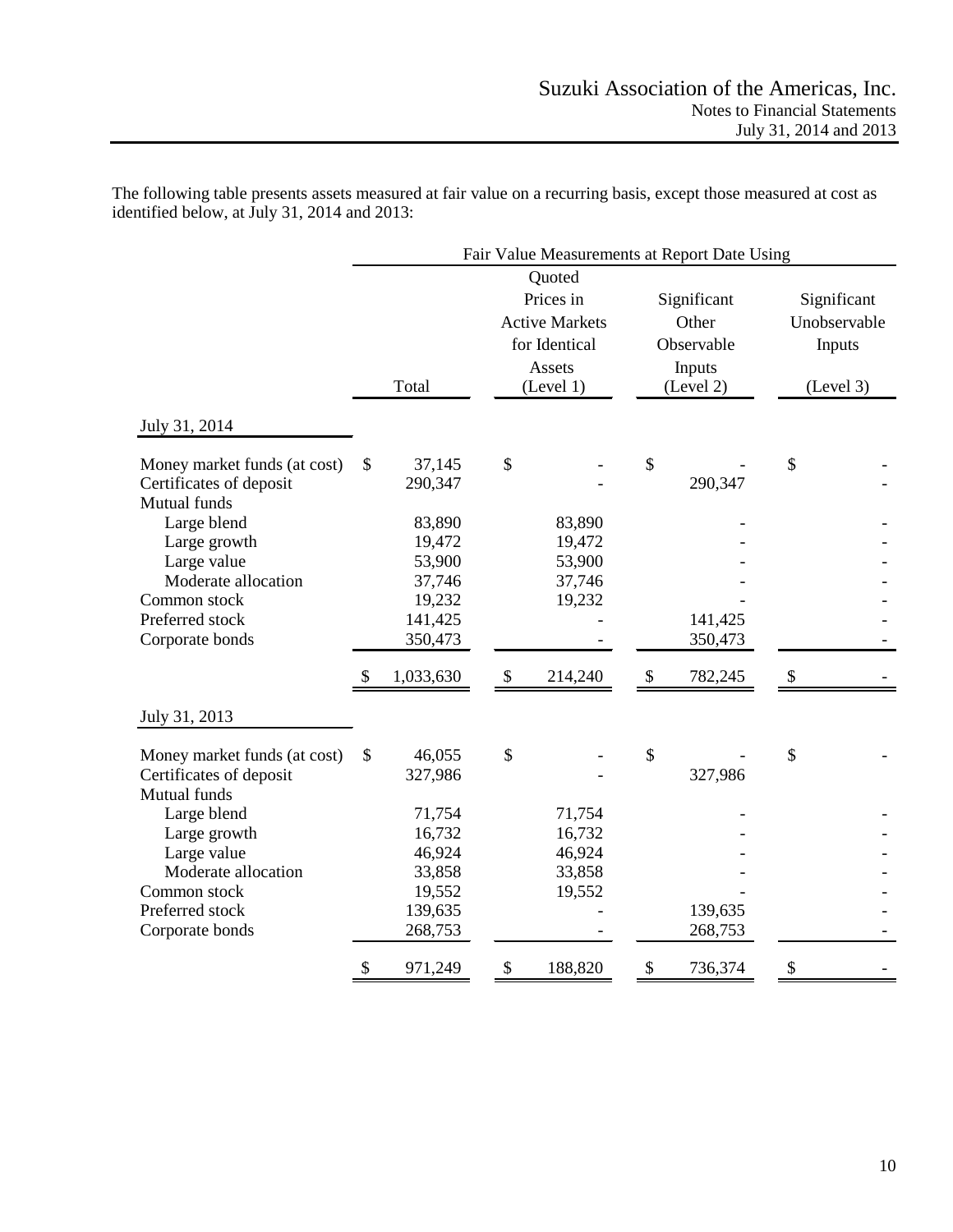The following table presents assets measured at fair value on a recurring basis, except those measured at cost as identified below, at July 31, 2014 and 2013:

|                                         | Fair Value Measurements at Report Date Using |           |                           |                       |                           |             |        |              |
|-----------------------------------------|----------------------------------------------|-----------|---------------------------|-----------------------|---------------------------|-------------|--------|--------------|
|                                         |                                              |           |                           | Quoted                |                           |             |        |              |
|                                         |                                              |           |                           | Prices in             |                           | Significant |        | Significant  |
|                                         |                                              |           |                           | <b>Active Markets</b> |                           | Other       |        | Unobservable |
|                                         |                                              |           |                           | for Identical         |                           | Observable  |        | Inputs       |
|                                         |                                              |           |                           | Assets                |                           | Inputs      |        |              |
|                                         |                                              | Total     |                           | (Level 1)             |                           | (Level 2)   |        | (Level 3)    |
|                                         |                                              |           |                           |                       |                           |             |        |              |
| July 31, 2014                           |                                              |           |                           |                       |                           |             |        |              |
| Money market funds (at cost)            | \$                                           | 37,145    | \$                        |                       | \$                        |             | \$     |              |
| Certificates of deposit<br>Mutual funds |                                              | 290,347   |                           |                       |                           | 290,347     |        |              |
| Large blend                             |                                              | 83,890    |                           | 83,890                |                           |             |        |              |
| Large growth                            |                                              | 19,472    |                           | 19,472                |                           |             |        |              |
| Large value                             |                                              | 53,900    |                           | 53,900                |                           |             |        |              |
| Moderate allocation                     |                                              | 37,746    |                           | 37,746                |                           |             |        |              |
| Common stock                            |                                              | 19,232    |                           | 19,232                |                           |             |        |              |
| Preferred stock                         |                                              | 141,425   |                           |                       |                           | 141,425     |        |              |
| Corporate bonds                         |                                              | 350,473   |                           |                       |                           | 350,473     |        |              |
|                                         | \$                                           | 1,033,630 | $\boldsymbol{\mathsf{S}}$ | 214,240               | $\boldsymbol{\mathsf{S}}$ | 782,245     | \$     |              |
| July 31, 2013                           |                                              |           |                           |                       |                           |             |        |              |
| Money market funds (at cost)            | \$                                           | 46,055    | \$                        |                       | \$                        |             | \$     |              |
| Certificates of deposit<br>Mutual funds |                                              | 327,986   |                           |                       |                           | 327,986     |        |              |
| Large blend                             |                                              | 71,754    |                           | 71,754                |                           |             |        |              |
| Large growth                            |                                              | 16,732    |                           | 16,732                |                           |             |        |              |
| Large value                             |                                              | 46,924    |                           | 46,924                |                           |             |        |              |
| Moderate allocation                     |                                              | 33,858    |                           | 33,858                |                           |             |        |              |
| Common stock                            |                                              | 19,552    |                           | 19,552                |                           |             |        |              |
| Preferred stock                         |                                              | 139,635   |                           |                       |                           | 139,635     |        |              |
| Corporate bonds                         |                                              | 268,753   |                           |                       |                           | 268,753     |        |              |
|                                         | \$                                           | 971,249   | $\boldsymbol{\mathsf{S}}$ | 188,820               | \$                        | 736,374     | $\$\,$ |              |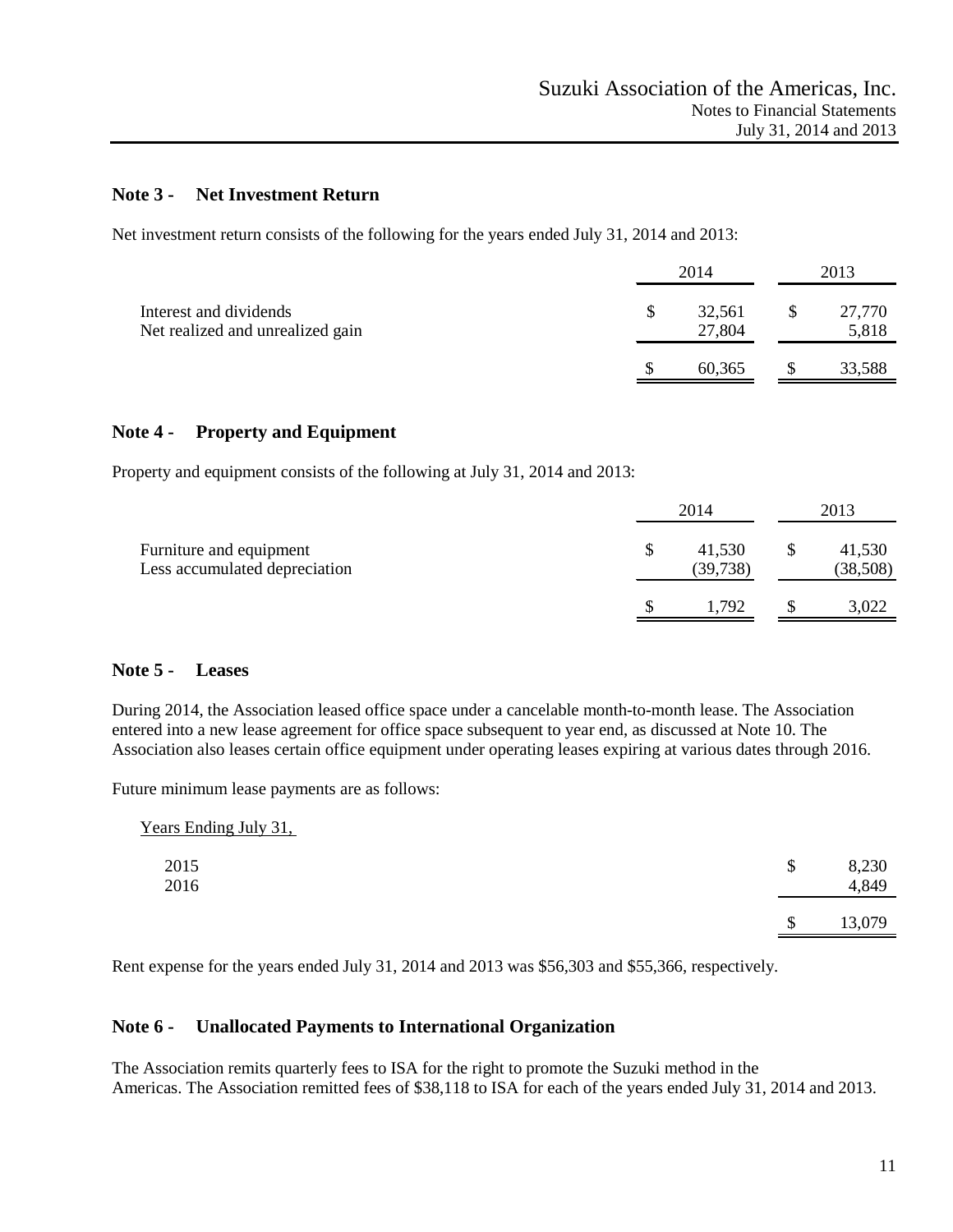### **Note 3 - Net Investment Return**

Net investment return consists of the following for the years ended July 31, 2014 and 2013:

|                                                            | 2014          |                  | 2013 |                 |
|------------------------------------------------------------|---------------|------------------|------|-----------------|
| Interest and dividends<br>Net realized and unrealized gain | <sup>\$</sup> | 32,561<br>27,804 | S    | 27,770<br>5,818 |
|                                                            | S             | 60.365           |      | 33,588          |

## **Note 4 - Property and Equipment**

Property and equipment consists of the following at July 31, 2014 and 2013:

|                                                          | 2014                | 2013               |
|----------------------------------------------------------|---------------------|--------------------|
| Furniture and equipment<br>Less accumulated depreciation | 41,530<br>(39, 738) | 41,530<br>(38,508) |
|                                                          | 1.792               | 3,022              |

# **Note 5 - Leases**

During 2014, the Association leased office space under a cancelable month-to-month lease. The Association entered into a new lease agreement for office space subsequent to year end, as discussed at Note 10. The Association also leases certain office equipment under operating leases expiring at various dates through 2016.

Future minimum lease payments are as follows:

| Years Ending July 31, |               |                |
|-----------------------|---------------|----------------|
| 2015<br>2016          | \$            | 8,230<br>4,849 |
|                       | $\mathcal{S}$ | 13,079         |

Rent expense for the years ended July 31, 2014 and 2013 was \$56,303 and \$55,366, respectively.

### **Note 6 - Unallocated Payments to International Organization**

The Association remits quarterly fees to ISA for the right to promote the Suzuki method in the Americas. The Association remitted fees of \$38,118 to ISA for each of the years ended July 31, 2014 and 2013.